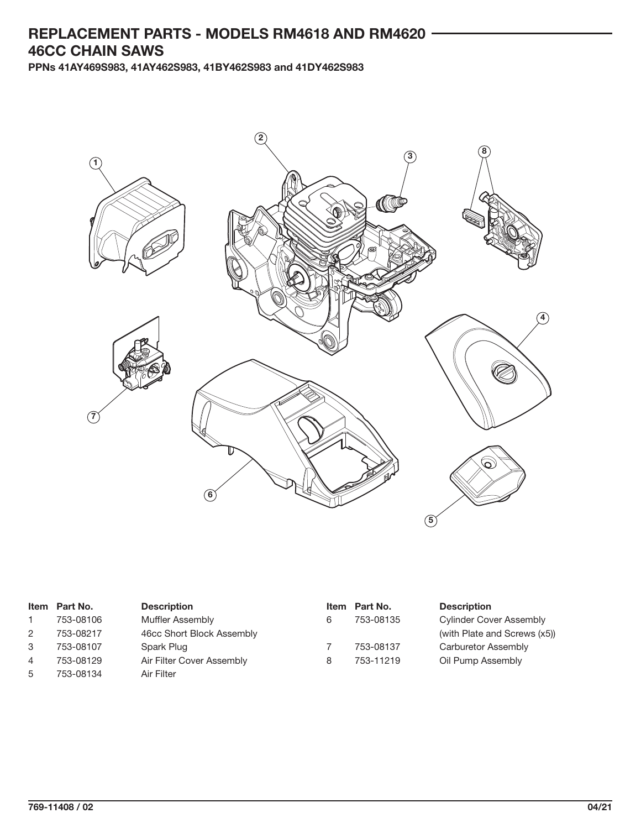## **REPLACEMENT PARTS - MODELS RM4618 AND RM4620 46CC CHAIN SAWS**

**PPNs 41AY469S983, 41AY462S983, 41BY462S983 and 41DY462S983**



|   | Item Part No. | <b>Description</b>        |   | Item Part No. | <b>Description</b>             |
|---|---------------|---------------------------|---|---------------|--------------------------------|
|   | 753-08106     | Muffler Assembly          | 6 | 753-08135     | <b>Cylinder Cover Assembly</b> |
| 2 | 753-08217     | 46cc Short Block Assembly |   |               | (with Plate and Screws (x5))   |
| 3 | 753-08107     | Spark Plug                |   | 753-08137     | Carburetor Assembly            |
| 4 | 753-08129     | Air Filter Cover Assembly | 8 | 753-11219     | Oil Pump Assembly              |
| 5 | 753-08134     | Air Filter                |   |               |                                |